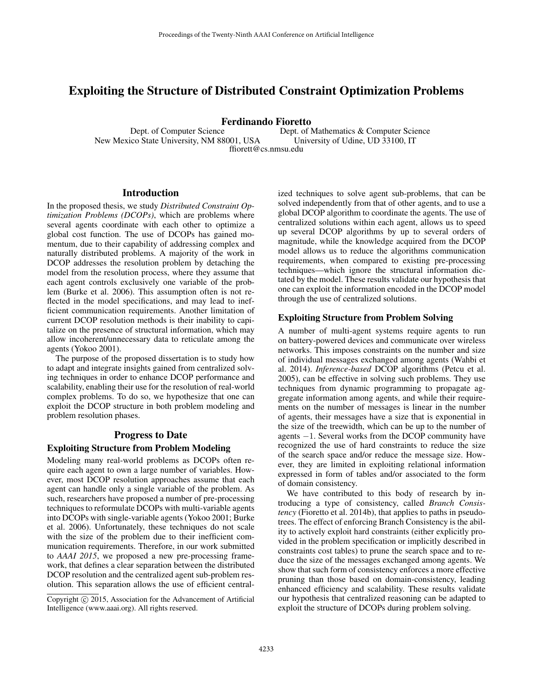# Exploiting the Structure of Distributed Constraint Optimization Problems

Ferdinando Fioretto

Dept. of Computer Science New Mexico State University, NM 88001, USA Dept. of Mathematics & Computer Science University of Udine, UD 33100, IT ffiorett@cs.nmsu.edu

### Introduction

In the proposed thesis, we study *Distributed Constraint Optimization Problems (DCOPs)*, which are problems where several agents coordinate with each other to optimize a global cost function. The use of DCOPs has gained momentum, due to their capability of addressing complex and naturally distributed problems. A majority of the work in DCOP addresses the resolution problem by detaching the model from the resolution process, where they assume that each agent controls exclusively one variable of the problem (Burke et al. 2006). This assumption often is not reflected in the model specifications, and may lead to inefficient communication requirements. Another limitation of current DCOP resolution methods is their inability to capitalize on the presence of structural information, which may allow incoherent/unnecessary data to reticulate among the agents (Yokoo 2001).

The purpose of the proposed dissertation is to study how to adapt and integrate insights gained from centralized solving techniques in order to enhance DCOP performance and scalability, enabling their use for the resolution of real-world complex problems. To do so, we hypothesize that one can exploit the DCOP structure in both problem modeling and problem resolution phases.

## Progress to Date

#### Exploiting Structure from Problem Modeling

Modeling many real-world problems as DCOPs often require each agent to own a large number of variables. However, most DCOP resolution approaches assume that each agent can handle only a single variable of the problem. As such, researchers have proposed a number of pre-processing techniques to reformulate DCOPs with multi-variable agents into DCOPs with single-variable agents (Yokoo 2001; Burke et al. 2006). Unfortunately, these techniques do not scale with the size of the problem due to their inefficient communication requirements. Therefore, in our work submitted to *AAAI 2015*, we proposed a new pre-processing framework, that defines a clear separation between the distributed DCOP resolution and the centralized agent sub-problem resolution. This separation allows the use of efficient centralized techniques to solve agent sub-problems, that can be solved independently from that of other agents, and to use a global DCOP algorithm to coordinate the agents. The use of centralized solutions within each agent, allows us to speed up several DCOP algorithms by up to several orders of magnitude, while the knowledge acquired from the DCOP model allows us to reduce the algorithms communication requirements, when compared to existing pre-processing techniques—which ignore the structural information dictated by the model. These results validate our hypothesis that one can exploit the information encoded in the DCOP model through the use of centralized solutions.

### Exploiting Structure from Problem Solving

A number of multi-agent systems require agents to run on battery-powered devices and communicate over wireless networks. This imposes constraints on the number and size of individual messages exchanged among agents (Wahbi et al. 2014). *Inference-based* DCOP algorithms (Petcu et al. 2005), can be effective in solving such problems. They use techniques from dynamic programming to propagate aggregate information among agents, and while their requirements on the number of messages is linear in the number of agents, their messages have a size that is exponential in the size of the treewidth, which can be up to the number of agents −1. Several works from the DCOP community have recognized the use of hard constraints to reduce the size of the search space and/or reduce the message size. However, they are limited in exploiting relational information expressed in form of tables and/or associated to the form of domain consistency.

We have contributed to this body of research by introducing a type of consistency, called *Branch Consistency* (Fioretto et al. 2014b), that applies to paths in pseudotrees. The effect of enforcing Branch Consistency is the ability to actively exploit hard constraints (either explicitly provided in the problem specification or implicitly described in constraints cost tables) to prune the search space and to reduce the size of the messages exchanged among agents. We show that such form of consistency enforces a more effective pruning than those based on domain-consistency, leading enhanced efficiency and scalability. These results validate our hypothesis that centralized reasoning can be adapted to exploit the structure of DCOPs during problem solving.

Copyright  $\odot$  2015, Association for the Advancement of Artificial Intelligence (www.aaai.org). All rights reserved.